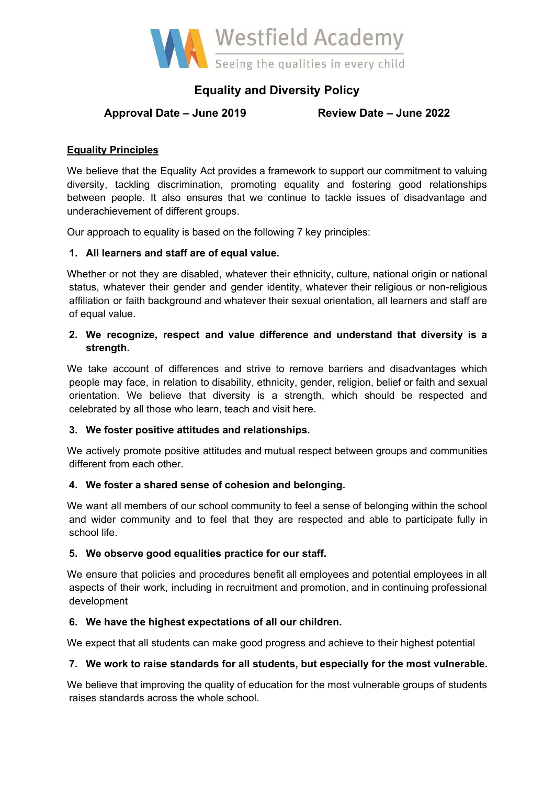

# **Equality and Diversity Policy**

# **Approval Date – June 2019 Review Date – June 2022**

# **Equality Principles**

We believe that the Equality Act provides a framework to support our commitment to valuing diversity, tackling discrimination, promoting equality and fostering good relationships between people. It also ensures that we continue to tackle issues of disadvantage and underachievement of different groups.

Our approach to equality is based on the following 7 key principles:

# **1. All learners and staff are of equal value.**

Whether or not they are disabled, whatever their ethnicity, culture, national origin or national status, whatever their gender and gender identity, whatever their religious or non-religious affiliation or faith background and whatever their sexual orientation, all learners and staff are of equal value.

# **2. We recognize, respect and value difference and understand that diversity is a strength.**

We take account of differences and strive to remove barriers and disadvantages which people may face, in relation to disability, ethnicity, gender, religion, belief or faith and sexual orientation. We believe that diversity is a strength, which should be respected and celebrated by all those who learn, teach and visit here.

# **3. We foster positive attitudes and relationships.**

We actively promote positive attitudes and mutual respect between groups and communities different from each other.

# **4. We foster a shared sense of cohesion and belonging.**

We want all members of our school community to feel a sense of belonging within the school and wider community and to feel that they are respected and able to participate fully in school life.

#### **5. We observe good equalities practice for our staff.**

We ensure that policies and procedures benefit all employees and potential employees in all aspects of their work, including in recruitment and promotion, and in continuing professional development

#### **6. We have the highest expectations of all our children.**

We expect that all students can make good progress and achieve to their highest potential

#### **7. We work to raise standards for all students, but especially for the most vulnerable.**

We believe that improving the quality of education for the most vulnerable groups of students raises standards across the whole school.